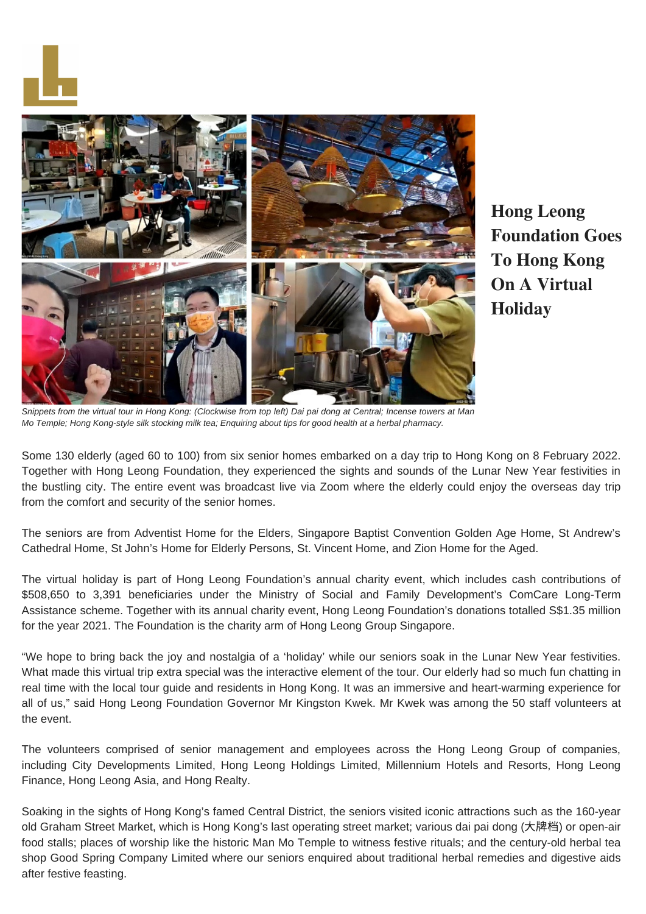



**Hong Leong Foundation Goes To Hong Kong On A Virtual Holiday**

*Snippets from the virtual tour in Hong Kong: (Clockwise from top left) Dai pai dong at Central; Incense towers at Man Mo Temple; Hong Kong-style silk stocking milk tea; Enquiring about tips for good health at a herbal pharmacy.*

Some 130 elderly (aged 60 to 100) from six senior homes embarked on a day trip to Hong Kong on 8 February 2022. Together with Hong Leong Foundation, they experienced the sights and sounds of the Lunar New Year festivities in the bustling city. The entire event was broadcast live via Zoom where the elderly could enjoy the overseas day trip from the comfort and security of the senior homes.

The seniors are from Adventist Home for the Elders, Singapore Baptist Convention Golden Age Home, St Andrew's Cathedral Home, St John's Home for Elderly Persons, St. Vincent Home, and Zion Home for the Aged.

The virtual holiday is part of Hong Leong Foundation's annual charity event, which includes cash contributions of \$508,650 to 3,391 beneficiaries under the Ministry of Social and Family Development's ComCare Long-Term Assistance scheme. Together with its annual charity event, Hong Leong Foundation's donations totalled S\$1.35 million for the year 2021. The Foundation is the charity arm of Hong Leong Group Singapore.

"We hope to bring back the joy and nostalgia of a 'holiday' while our seniors soak in the Lunar New Year festivities. What made this virtual trip extra special was the interactive element of the tour. Our elderly had so much fun chatting in real time with the local tour guide and residents in Hong Kong. It was an immersive and heart-warming experience for all of us," said Hong Leong Foundation Governor Mr Kingston Kwek. Mr Kwek was among the 50 staff volunteers at the event.

The volunteers comprised of senior management and employees across the Hong Leong Group of companies, including City Developments Limited, Hong Leong Holdings Limited, Millennium Hotels and Resorts, Hong Leong Finance, Hong Leong Asia, and Hong Realty.

Soaking in the sights of Hong Kong's famed Central District, the seniors visited iconic attractions such as the 160-year old Graham Street Market, which is Hong Kong's last operating street market; various dai pai dong (⼤牌档) or open-air food stalls; places of worship like the historic Man Mo Temple to witness festive rituals; and the century-old herbal tea shop Good Spring Company Limited where our seniors enquired about traditional herbal remedies and digestive aids after festive feasting.